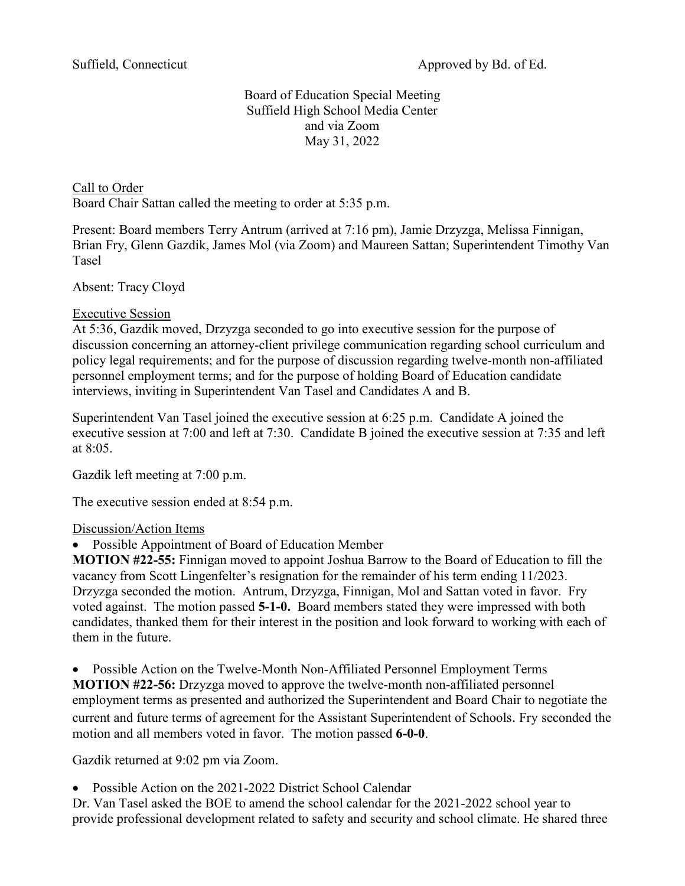## Board of Education Special Meeting Suffield High School Media Center and via Zoom May 31, 2022

Call to Order Board Chair Sattan called the meeting to order at 5:35 p.m.

Present: Board members Terry Antrum (arrived at 7:16 pm), Jamie Drzyzga, Melissa Finnigan, Brian Fry, Glenn Gazdik, James Mol (via Zoom) and Maureen Sattan; Superintendent Timothy Van Tasel

Absent: Tracy Cloyd

## Executive Session

At 5:36, Gazdik moved, Drzyzga seconded to go into executive session for the purpose of discussion concerning an attorney-client privilege communication regarding school curriculum and policy legal requirements; and for the purpose of discussion regarding twelve-month non-affiliated personnel employment terms; and for the purpose of holding Board of Education candidate interviews, inviting in Superintendent Van Tasel and Candidates A and B.

Superintendent Van Tasel joined the executive session at 6:25 p.m. Candidate A joined the executive session at 7:00 and left at 7:30. Candidate B joined the executive session at 7:35 and left at 8:05.

Gazdik left meeting at 7:00 p.m.

The executive session ended at 8:54 p.m.

## Discussion/Action Items

• Possible Appointment of Board of Education Member

**MOTION #22-55:** Finnigan moved to appoint Joshua Barrow to the Board of Education to fill the vacancy from Scott Lingenfelter's resignation for the remainder of his term ending 11/2023. Drzyzga seconded the motion. Antrum, Drzyzga, Finnigan, Mol and Sattan voted in favor. Fry voted against. The motion passed **5-1-0.** Board members stated they were impressed with both candidates, thanked them for their interest in the position and look forward to working with each of them in the future.

• Possible Action on the Twelve-Month Non-Affiliated Personnel Employment Terms **MOTION #22-56:** Drzyzga moved to approve the twelve-month non-affiliated personnel employment terms as presented and authorized the Superintendent and Board Chair to negotiate the current and future terms of agreement for the Assistant Superintendent of Schools. Fry seconded the motion and all members voted in favor. The motion passed **6-0-0**.

Gazdik returned at 9:02 pm via Zoom.

• Possible Action on the 2021-2022 District School Calendar

Dr. Van Tasel asked the BOE to amend the school calendar for the 2021-2022 school year to provide professional development related to safety and security and school climate. He shared three